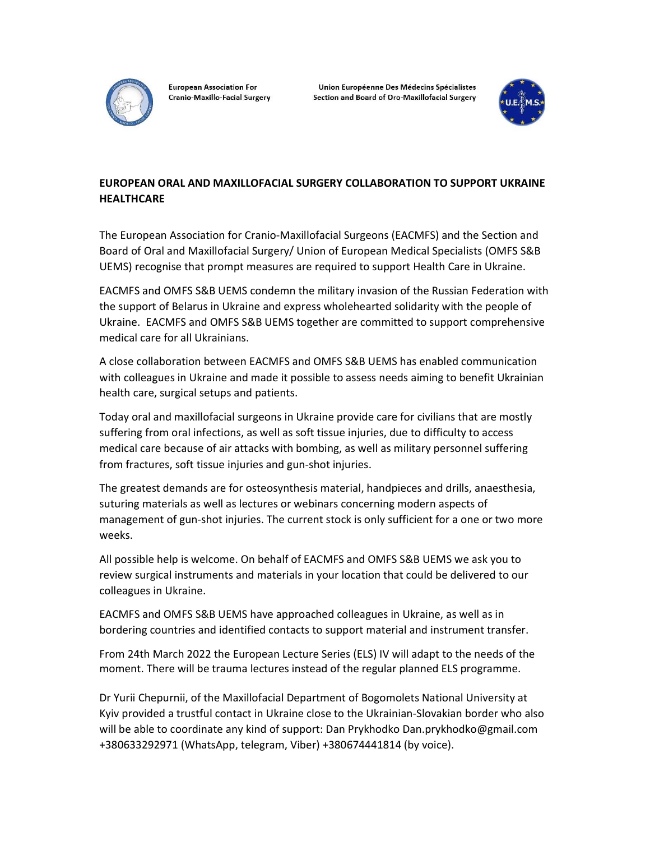

**European Association For** Cranio-Maxillo-Facial Surgery

Union Européenne Des Médecins Spécialistes Section and Board of Oro-Maxillofacial Surgery



## EUROPEAN ORAL AND MAXILLOFACIAL SURGERY COLLABORATION TO SUPPORT UKRAINE **HEALTHCARE**

The European Association for Cranio-Maxillofacial Surgeons (EACMFS) and the Section and Board of Oral and Maxillofacial Surgery/ Union of European Medical Specialists (OMFS S&B UEMS) recognise that prompt measures are required to support Health Care in Ukraine.

EACMFS and OMFS S&B UEMS condemn the military invasion of the Russian Federation with the support of Belarus in Ukraine and express wholehearted solidarity with the people of Ukraine. EACMFS and OMFS S&B UEMS together are committed to support comprehensive medical care for all Ukrainians.

A close collaboration between EACMFS and OMFS S&B UEMS has enabled communication with colleagues in Ukraine and made it possible to assess needs aiming to benefit Ukrainian health care, surgical setups and patients.

Today oral and maxillofacial surgeons in Ukraine provide care for civilians that are mostly suffering from oral infections, as well as soft tissue injuries, due to difficulty to access medical care because of air attacks with bombing, as well as military personnel suffering from fractures, soft tissue injuries and gun-shot injuries.

The greatest demands are for osteosynthesis material, handpieces and drills, anaesthesia, suturing materials as well as lectures or webinars concerning modern aspects of management of gun-shot injuries. The current stock is only sufficient for a one or two more weeks.

All possible help is welcome. On behalf of EACMFS and OMFS S&B UEMS we ask you to review surgical instruments and materials in your location that could be delivered to our colleagues in Ukraine.

EACMFS and OMFS S&B UEMS have approached colleagues in Ukraine, as well as in bordering countries and identified contacts to support material and instrument transfer.

From 24th March 2022 the European Lecture Series (ELS) IV will adapt to the needs of the moment. There will be trauma lectures instead of the regular planned ELS programme.

Dr Yurii Chepurnii, of the Maxillofacial Department of Bogomolets National University at Kyiv provided a trustful contact in Ukraine close to the Ukrainian-Slovakian border who also will be able to coordinate any kind of support: Dan Prykhodko Dan.prykhodko@gmail.com +380633292971 (WhatsApp, telegram, Viber) +380674441814 (by voice).